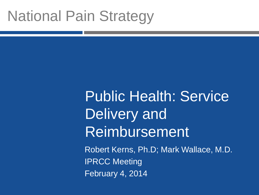## National Pain Strategy

# Public Health: Service Delivery and **Reimbursement**

Robert Kerns, Ph.D; Mark Wallace, M.D. IPRCC Meeting February 4, 2014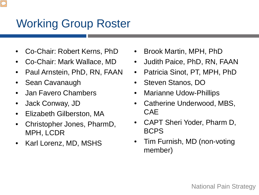### Working Group Roster

- Co-Chair: Robert Kerns, PhD
- Co-Chair: Mark Wallace, MD
- Paul Arnstein, PhD, RN, FAAN
- Sean Cavanaugh
- Jan Favero Chambers
- Jack Conway, JD
- Elizabeth Gilberston, MA
- Christopher Jones, PharmD, MPH, LCDR
- Karl Lorenz, MD, MSHS
- Brook Martin, MPH, PhD
- Judith Paice, PhD, RN, FAAN
- Patricia Sinot, PT, MPH, PhD
- Steven Stanos, DO
- Marianne Udow-Phillips
- Catherine Underwood, MBS, CAE
- CAPT Sheri Yoder, Pharm D, BCPS
- Tim Furnish, MD (non-voting member)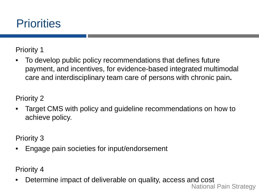

Priority 1

• To develop public policy recommendations that defines future payment, and incentives, for evidence-based integrated multimodal care and interdisciplinary team care of persons with chronic pain**.**

Priority 2

• Target CMS with policy and guideline recommendations on how to achieve policy.

Priority 3

• Engage pain societies for input/endorsement

Priority 4

• Determine impact of deliverable on quality, access and cost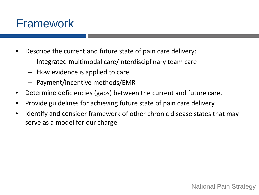#### Framework

- Describe the current and future state of pain care delivery:
	- Integrated multimodal care/interdisciplinary team care
	- How evidence is applied to care
	- Payment/incentive methods/EMR
- Determine deficiencies (gaps) between the current and future care.
- Provide guidelines for achieving future state of pain care delivery
- Identify and consider framework of other chronic disease states that may serve as a model for our charge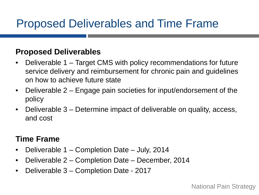## Proposed Deliverables and Time Frame

#### **Proposed Deliverables**

- Deliverable 1 Target CMS with policy recommendations for future service delivery and reimbursement for chronic pain and guidelines on how to achieve future state
- Deliverable 2 Engage pain societies for input/endorsement of the policy
- Deliverable 3 Determine impact of deliverable on quality, access, and cost

#### **Time Frame**

- Deliverable 1 Completion Date July, 2014
- Deliverable 2 Completion Date December, 2014
- Deliverable 3 Completion Date 2017